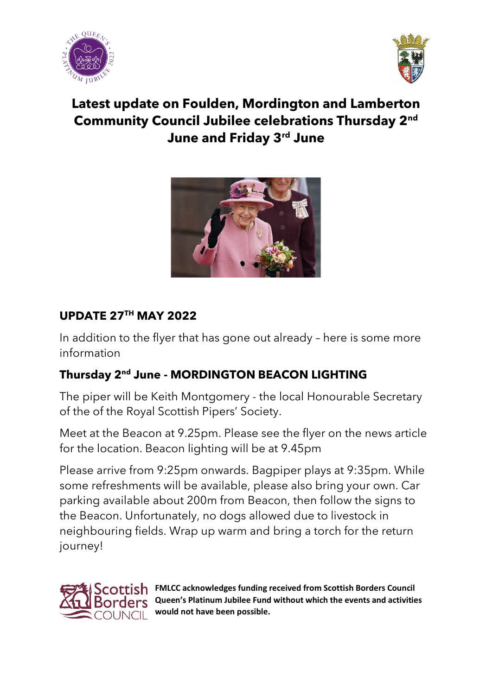



# **Latest update on Foulden, Mordington and Lamberton Community Council Jubilee celebrations Thursday 2nd June and Friday 3rd June**



### **UPDATE 27TH MAY 2022**

In addition to the flyer that has gone out already – here is some more information

# **Thursday 2nd June - MORDINGTON BEACON LIGHTING**

The piper will be Keith Montgomery - the local Honourable Secretary of the of the Royal Scottish Pipers' Society.

Meet at the Beacon at 9.25pm. Please see the flyer on the news article for the location. Beacon lighting will be at 9.45pm

Please arrive from 9:25pm onwards. Bagpiper plays at 9:35pm. While some refreshments will be available, please also bring your own. Car parking available about 200m from Beacon, then follow the signs to the Beacon. Unfortunately, no dogs allowed due to livestock in neighbouring fields. Wrap up warm and bring a torch for the return journey!



**FMLCC acknowledges funding received from Scottish Borders Council Queen's Platinum Jubilee Fund without which the events and activities would not have been possible.**